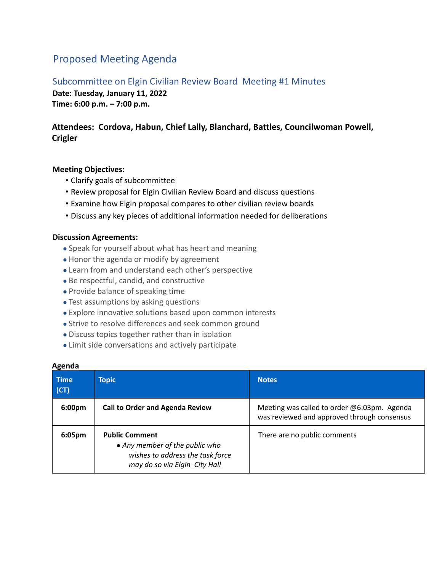# Proposed Meeting Agenda

### Subcommittee on Elgin Civilian Review Board Meeting #1 Minutes

**Date: Tuesday, January 11, 2022 Time: 6:00 p.m. – 7:00 p.m.**

## **Attendees: Cordova, Habun, Chief Lally, Blanchard, Battles, Councilwoman Powell, Crigler**

#### **Meeting Objectives:**

- Clarify goals of subcommittee
- Review proposal for Elgin Civilian Review Board and discuss questions
- Examine how Elgin proposal compares to other civilian review boards
- Discuss any key pieces of additional information needed for deliberations

#### **Discussion Agreements:**

- Speak for yourself about what has heart and meaning
- Honor the agenda or modify by agreement
- Learn from and understand each other's perspective
- Be respectful, candid, and constructive
- Provide balance of speaking time
- Test assumptions by asking questions
- Explore innovative solutions based upon common interests
- Strive to resolve differences and seek common ground
- Discuss topics together rather than in isolation
- Limit side conversations and actively participate

| <b>Time</b><br>(CT) | <b>Topic</b>                                                                                                                 | <b>Notes</b>                                                                               |
|---------------------|------------------------------------------------------------------------------------------------------------------------------|--------------------------------------------------------------------------------------------|
| 6:00 <sub>pm</sub>  | <b>Call to Order and Agenda Review</b>                                                                                       | Meeting was called to order @6:03pm. Agenda<br>was reviewed and approved through consensus |
| 6:05pm              | <b>Public Comment</b><br>• Any member of the public who<br>wishes to address the task force<br>may do so via Elgin City Hall | There are no public comments                                                               |

#### **Agenda**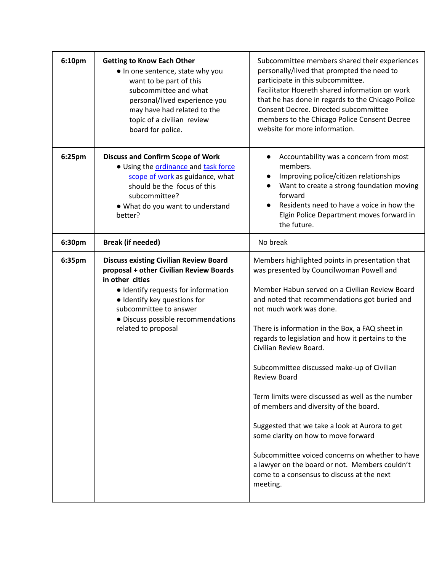| 6:10pm | <b>Getting to Know Each Other</b><br>• In one sentence, state why you<br>want to be part of this<br>subcommittee and what<br>personal/lived experience you<br>may have had related to the<br>topic of a civilian review<br>board for police.                              | Subcommittee members shared their experiences<br>personally/lived that prompted the need to<br>participate in this subcommittee.<br>Facilitator Hoereth shared information on work<br>that he has done in regards to the Chicago Police<br>Consent Decree. Directed subcommittee<br>members to the Chicago Police Consent Decree<br>website for more information.                                                                                                                                                                                                                                                                                                                                                                                                                      |
|--------|---------------------------------------------------------------------------------------------------------------------------------------------------------------------------------------------------------------------------------------------------------------------------|----------------------------------------------------------------------------------------------------------------------------------------------------------------------------------------------------------------------------------------------------------------------------------------------------------------------------------------------------------------------------------------------------------------------------------------------------------------------------------------------------------------------------------------------------------------------------------------------------------------------------------------------------------------------------------------------------------------------------------------------------------------------------------------|
| 6:25pm | <b>Discuss and Confirm Scope of Work</b><br>· Using the ordinance and task force<br>scope of work as guidance, what<br>should be the focus of this<br>subcommittee?<br>. What do you want to understand<br>better?                                                        | Accountability was a concern from most<br>$\bullet$<br>members.<br>Improving police/citizen relationships<br>$\bullet$<br>Want to create a strong foundation moving<br>forward<br>Residents need to have a voice in how the<br>Elgin Police Department moves forward in<br>the future.                                                                                                                                                                                                                                                                                                                                                                                                                                                                                                 |
| 6:30pm | <b>Break (if needed)</b>                                                                                                                                                                                                                                                  | No break                                                                                                                                                                                                                                                                                                                                                                                                                                                                                                                                                                                                                                                                                                                                                                               |
| 6:35pm | <b>Discuss existing Civilian Review Board</b><br>proposal + other Civilian Review Boards<br>in other cities<br>• Identify requests for information<br>· Identify key questions for<br>subcommittee to answer<br>· Discuss possible recommendations<br>related to proposal | Members highlighted points in presentation that<br>was presented by Councilwoman Powell and<br>Member Habun served on a Civilian Review Board<br>and noted that recommendations got buried and<br>not much work was done.<br>There is information in the Box, a FAQ sheet in<br>regards to legislation and how it pertains to the<br>Civilian Review Board.<br>Subcommittee discussed make-up of Civilian<br><b>Review Board</b><br>Term limits were discussed as well as the number<br>of members and diversity of the board.<br>Suggested that we take a look at Aurora to get<br>some clarity on how to move forward<br>Subcommittee voiced concerns on whether to have<br>a lawyer on the board or not. Members couldn't<br>come to a consensus to discuss at the next<br>meeting. |